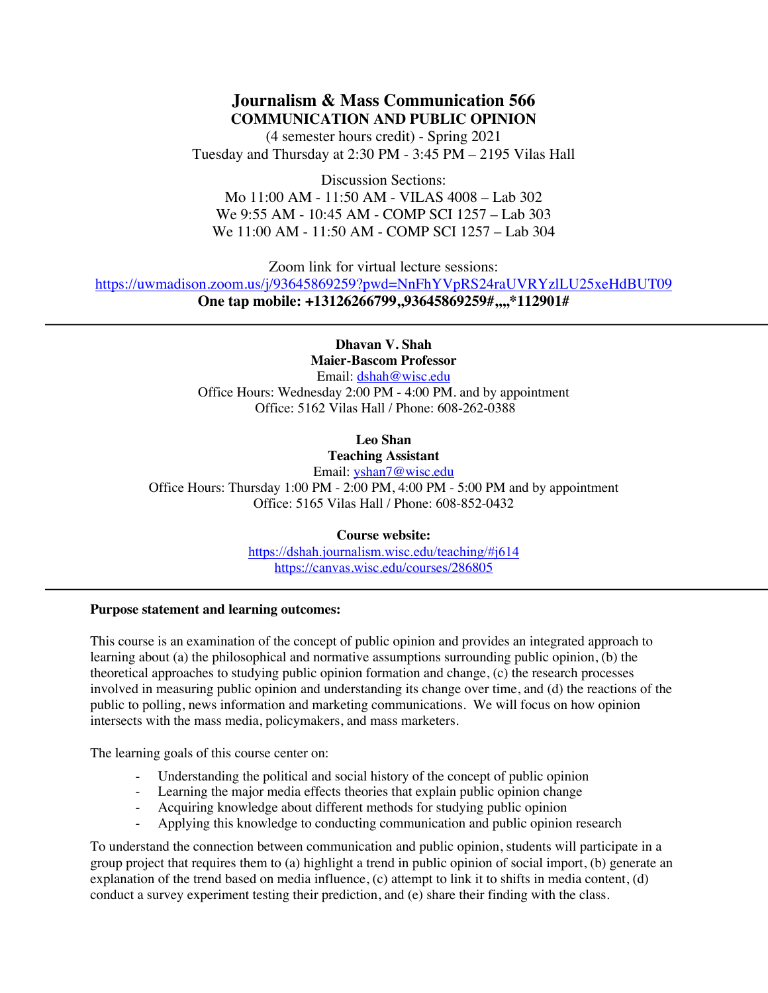# **Journalism & Mass Communication 566 COMMUNICATION AND PUBLIC OPINION**

(4 semester hours credit) - Spring 2021 Tuesday and Thursday at 2:30 PM - 3:45 PM – 2195 Vilas Hall

Discussion Sections:

Mo 11:00 AM - 11:50 AM - VILAS 4008 – Lab 302 We 9:55 AM - 10:45 AM - COMP SCI 1257 – Lab 303 We 11:00 AM - 11:50 AM - COMP SCI 1257 – Lab 304

Zoom link for virtual lecture sessions:

https://uwmadison.zoom.us/j/93645869259?pwd=NnFhYVpRS24raUVRYzlLU25xeHdBUT09

**One tap mobile: +13126266799,,93645869259#,,,,\*112901#** 

**Dhavan V. Shah Maier-Bascom Professor** Email: dshah@wisc.edu Office Hours: Wednesday 2:00 PM - 4:00 PM. and by appointment Office: 5162 Vilas Hall / Phone: 608-262-0388

**Leo Shan**

**Teaching Assistant** 

Email: yshan7@wisc.edu Office Hours: Thursday 1:00 PM - 2:00 PM, 4:00 PM - 5:00 PM and by appointment Office: 5165 Vilas Hall / Phone: 608-852-0432

**Course website:**

https://dshah.journalism.wisc.edu/teaching/#j614 https://canvas.wisc.edu/courses/286805

# **Purpose statement and learning outcomes:**

This course is an examination of the concept of public opinion and provides an integrated approach to learning about (a) the philosophical and normative assumptions surrounding public opinion, (b) the theoretical approaches to studying public opinion formation and change, (c) the research processes involved in measuring public opinion and understanding its change over time, and (d) the reactions of the public to polling, news information and marketing communications. We will focus on how opinion intersects with the mass media, policymakers, and mass marketers.

The learning goals of this course center on:

- Understanding the political and social history of the concept of public opinion
- Learning the major media effects theories that explain public opinion change
- Acquiring knowledge about different methods for studying public opinion
- Applying this knowledge to conducting communication and public opinion research

To understand the connection between communication and public opinion, students will participate in a group project that requires them to (a) highlight a trend in public opinion of social import, (b) generate an explanation of the trend based on media influence, (c) attempt to link it to shifts in media content, (d) conduct a survey experiment testing their prediction, and (e) share their finding with the class.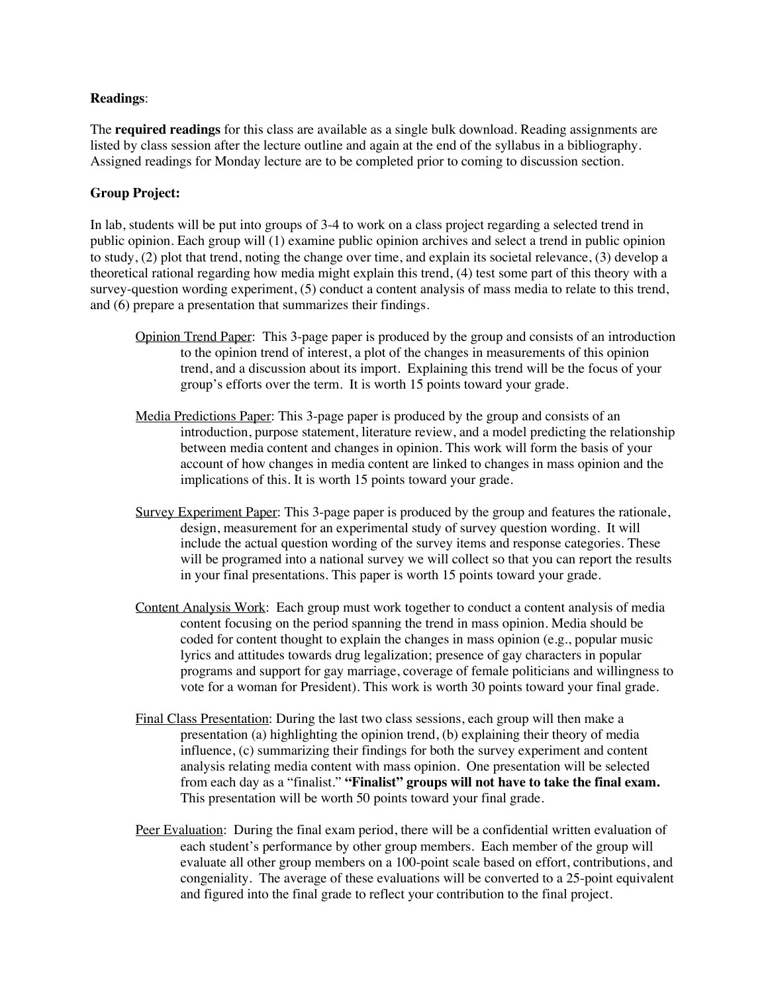# **Readings**:

The **required readings** for this class are available as a single bulk download. Reading assignments are listed by class session after the lecture outline and again at the end of the syllabus in a bibliography. Assigned readings for Monday lecture are to be completed prior to coming to discussion section.

# **Group Project:**

In lab, students will be put into groups of 3-4 to work on a class project regarding a selected trend in public opinion. Each group will (1) examine public opinion archives and select a trend in public opinion to study, (2) plot that trend, noting the change over time, and explain its societal relevance, (3) develop a theoretical rational regarding how media might explain this trend, (4) test some part of this theory with a survey-question wording experiment, (5) conduct a content analysis of mass media to relate to this trend, and (6) prepare a presentation that summarizes their findings.

- Opinion Trend Paper: This 3-page paper is produced by the group and consists of an introduction to the opinion trend of interest, a plot of the changes in measurements of this opinion trend, and a discussion about its import. Explaining this trend will be the focus of your group's efforts over the term. It is worth 15 points toward your grade.
- Media Predictions Paper: This 3-page paper is produced by the group and consists of an introduction, purpose statement, literature review, and a model predicting the relationship between media content and changes in opinion. This work will form the basis of your account of how changes in media content are linked to changes in mass opinion and the implications of this. It is worth 15 points toward your grade.
- Survey Experiment Paper: This 3-page paper is produced by the group and features the rationale, design, measurement for an experimental study of survey question wording. It will include the actual question wording of the survey items and response categories. These will be programed into a national survey we will collect so that you can report the results in your final presentations. This paper is worth 15 points toward your grade.
- Content Analysis Work: Each group must work together to conduct a content analysis of media content focusing on the period spanning the trend in mass opinion. Media should be coded for content thought to explain the changes in mass opinion (e.g., popular music lyrics and attitudes towards drug legalization; presence of gay characters in popular programs and support for gay marriage, coverage of female politicians and willingness to vote for a woman for President). This work is worth 30 points toward your final grade.
- Final Class Presentation: During the last two class sessions, each group will then make a presentation (a) highlighting the opinion trend, (b) explaining their theory of media influence, (c) summarizing their findings for both the survey experiment and content analysis relating media content with mass opinion. One presentation will be selected from each day as a "finalist." **"Finalist" groups will not have to take the final exam.** This presentation will be worth 50 points toward your final grade.
- Peer Evaluation: During the final exam period, there will be a confidential written evaluation of each student's performance by other group members. Each member of the group will evaluate all other group members on a 100-point scale based on effort, contributions, and congeniality. The average of these evaluations will be converted to a 25-point equivalent and figured into the final grade to reflect your contribution to the final project.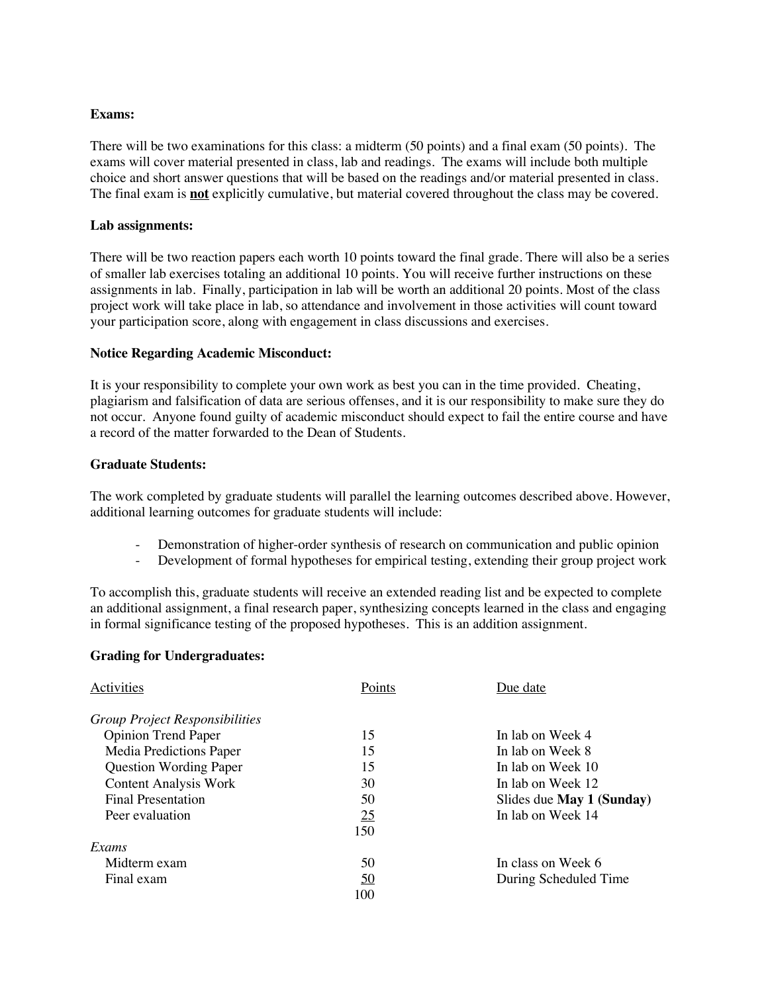# **Exams:**

There will be two examinations for this class: a midterm (50 points) and a final exam (50 points). The exams will cover material presented in class, lab and readings. The exams will include both multiple choice and short answer questions that will be based on the readings and/or material presented in class. The final exam is **not** explicitly cumulative, but material covered throughout the class may be covered.

## **Lab assignments:**

There will be two reaction papers each worth 10 points toward the final grade. There will also be a series of smaller lab exercises totaling an additional 10 points. You will receive further instructions on these assignments in lab. Finally, participation in lab will be worth an additional 20 points. Most of the class project work will take place in lab, so attendance and involvement in those activities will count toward your participation score, along with engagement in class discussions and exercises.

## **Notice Regarding Academic Misconduct:**

It is your responsibility to complete your own work as best you can in the time provided. Cheating, plagiarism and falsification of data are serious offenses, and it is our responsibility to make sure they do not occur. Anyone found guilty of academic misconduct should expect to fail the entire course and have a record of the matter forwarded to the Dean of Students.

## **Graduate Students:**

The work completed by graduate students will parallel the learning outcomes described above. However, additional learning outcomes for graduate students will include:

- Demonstration of higher-order synthesis of research on communication and public opinion
- Development of formal hypotheses for empirical testing, extending their group project work

To accomplish this, graduate students will receive an extended reading list and be expected to complete an additional assignment, a final research paper, synthesizing concepts learned in the class and engaging in formal significance testing of the proposed hypotheses. This is an addition assignment.

# **Grading for Undergraduates:**

| Activities                            | Points    | Due date                  |
|---------------------------------------|-----------|---------------------------|
| <b>Group Project Responsibilities</b> |           |                           |
| <b>Opinion Trend Paper</b>            | 15        | In lab on Week 4          |
| Media Predictions Paper               | 15        | In lab on Week 8          |
| <b>Question Wording Paper</b>         | 15        | In lab on Week 10         |
| <b>Content Analysis Work</b>          | 30        | In lab on Week 12         |
| <b>Final Presentation</b>             | 50        | Slides due May 1 (Sunday) |
| Peer evaluation                       | 25        | In lab on Week 14         |
|                                       | 150       |                           |
| Exams                                 |           |                           |
| Midterm exam                          | 50        | In class on Week 6        |
| Final exam                            | <u>50</u> | During Scheduled Time     |
|                                       | 100       |                           |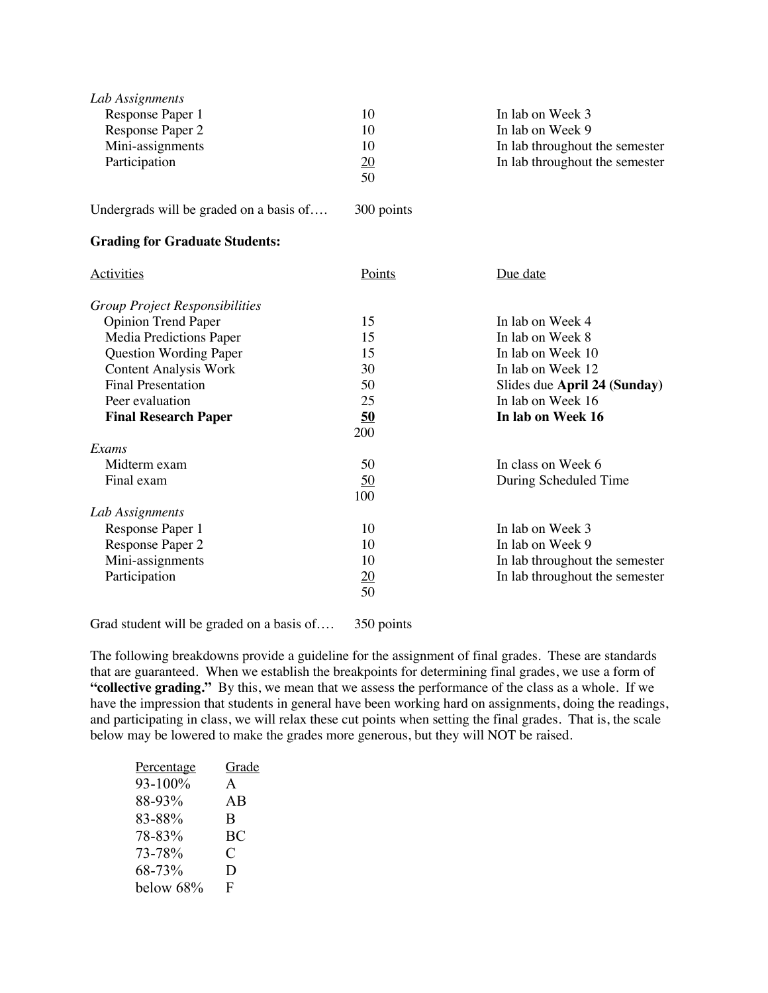| Lab Assignments                         |                  |                                |
|-----------------------------------------|------------------|--------------------------------|
| Response Paper 1                        | 10               | In lab on Week 3               |
| Response Paper 2                        | 10               | In lab on Week 9               |
| Mini-assignments                        | 10               | In lab throughout the semester |
| Participation                           | 20               | In lab throughout the semester |
|                                         | 50               |                                |
| Undergrads will be graded on a basis of | 300 points       |                                |
| <b>Grading for Graduate Students:</b>   |                  |                                |
| <b>Activities</b>                       | Points           | Due date                       |
| <b>Group Project Responsibilities</b>   |                  |                                |
| <b>Opinion Trend Paper</b>              | 15               | In lab on Week 4               |
| <b>Media Predictions Paper</b>          | 15               | In lab on Week 8               |
| Question Wording Paper                  | 15               | In lab on Week 10              |
| <b>Content Analysis Work</b>            | 30               | In lab on Week 12              |
| <b>Final Presentation</b>               | 50               | Slides due April 24 (Sunday)   |
| Peer evaluation                         | 25               | In lab on Week 16              |
| <b>Final Research Paper</b>             | 50               | In lab on Week 16              |
|                                         | 200              |                                |
| Exams                                   |                  |                                |
| Midterm exam                            | 50               | In class on Week 6             |
| Final exam                              | 50               | During Scheduled Time          |
|                                         | 100              |                                |
| Lab Assignments                         |                  |                                |
| Response Paper 1                        | 10               | In lab on Week 3               |
| Response Paper 2                        | 10               | In lab on Week 9               |
| Mini-assignments                        | 10               | In lab throughout the semester |
| Participation                           | $\underline{20}$ | In lab throughout the semester |
|                                         | 50               |                                |

Grad student will be graded on a basis of.... 350 points

The following breakdowns provide a guideline for the assignment of final grades. These are standards that are guaranteed. When we establish the breakpoints for determining final grades, we use a form of "collective grading." By this, we mean that we assess the performance of the class as a whole. If we have the impression that students in general have been working hard on assignments, doing the readings, and participating in class, we will relax these cut points when setting the final grades. That is, the scale below may be lowered to make the grades more generous, but they will NOT be raised.

| Percentage | Grade |
|------------|-------|
| 93-100%    | A     |
| 88-93%     | AВ    |
| 83-88%     | B     |
| 78-83%     | BC    |
| 73-78%     | C     |
| 68-73%     | D     |
| below 68%  | F     |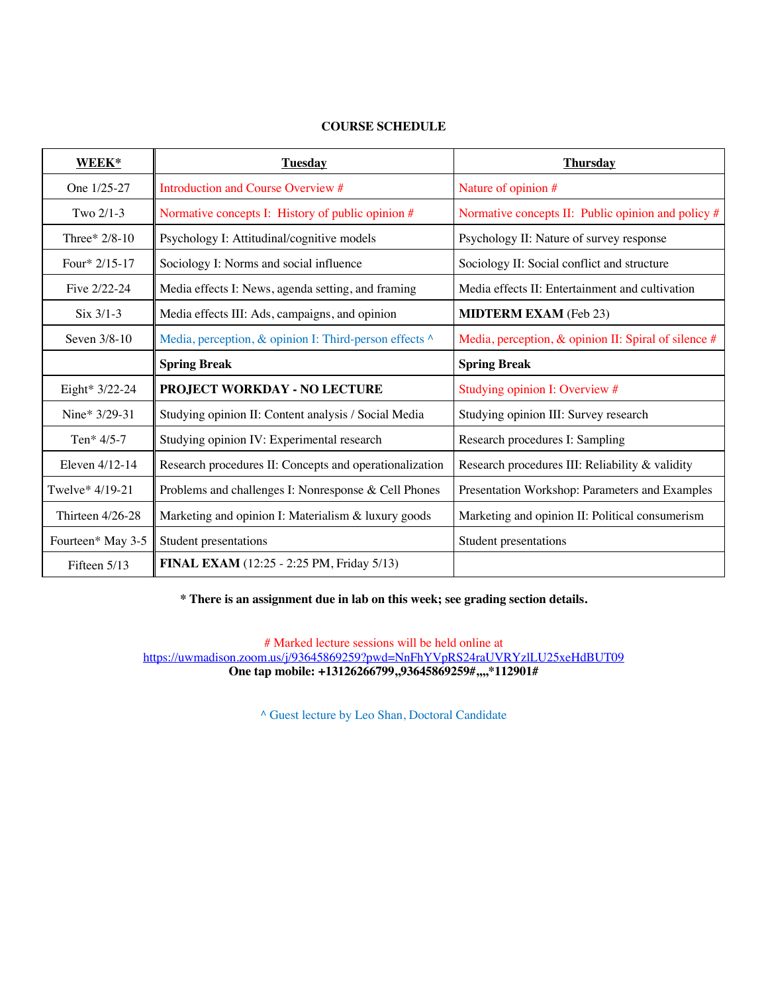#### **COURSE SCHEDULE**

| WEEK*             | <b>Tuesday</b>                                          | <b>Thursday</b>                                           |
|-------------------|---------------------------------------------------------|-----------------------------------------------------------|
| One 1/25-27       | Introduction and Course Overview #                      | Nature of opinion #                                       |
| Two $2/1-3$       | Normative concepts I: History of public opinion #       | Normative concepts II: Public opinion and policy #        |
| Three $*2/8-10$   | Psychology I: Attitudinal/cognitive models              | Psychology II: Nature of survey response                  |
| Four* $2/15-17$   | Sociology I: Norms and social influence                 | Sociology II: Social conflict and structure               |
| Five 2/22-24      | Media effects I: News, agenda setting, and framing      | Media effects II: Entertainment and cultivation           |
| $Six 3/1-3$       | Media effects III: Ads, campaigns, and opinion          | <b>MIDTERM EXAM</b> (Feb 23)                              |
| Seven 3/8-10      | Media, perception, & opinion I: Third-person effects ^  | Media, perception, $\&$ opinion II: Spiral of silence $#$ |
|                   | <b>Spring Break</b>                                     | <b>Spring Break</b>                                       |
| Eight* 3/22-24    | PROJECT WORKDAY - NO LECTURE                            | Studying opinion I: Overview #                            |
| Nine* 3/29-31     | Studying opinion II: Content analysis / Social Media    | Studying opinion III: Survey research                     |
| Ten* $4/5-7$      | Studying opinion IV: Experimental research              | Research procedures I: Sampling                           |
| Eleven 4/12-14    | Research procedures II: Concepts and operationalization | Research procedures III: Reliability & validity           |
| Twelve* 4/19-21   | Problems and challenges I: Nonresponse & Cell Phones    | Presentation Workshop: Parameters and Examples            |
| Thirteen 4/26-28  | Marketing and opinion I: Materialism & luxury goods     | Marketing and opinion II: Political consumerism           |
| Fourteen* May 3-5 | Student presentations                                   | Student presentations                                     |
| Fifteen 5/13      | FINAL EXAM (12:25 - 2:25 PM, Friday 5/13)               |                                                           |

**\* There is an assignment due in lab on this week; see grading section details.**

# Marked lecture sessions will be held online at https://uwmadison.zoom.us/j/93645869259?pwd=NnFhYVpRS24raUVRYzlLU25xeHdBUT09 **One tap mobile: +13126266799,,93645869259#,,,,\*112901#** 

^ Guest lecture by Leo Shan, Doctoral Candidate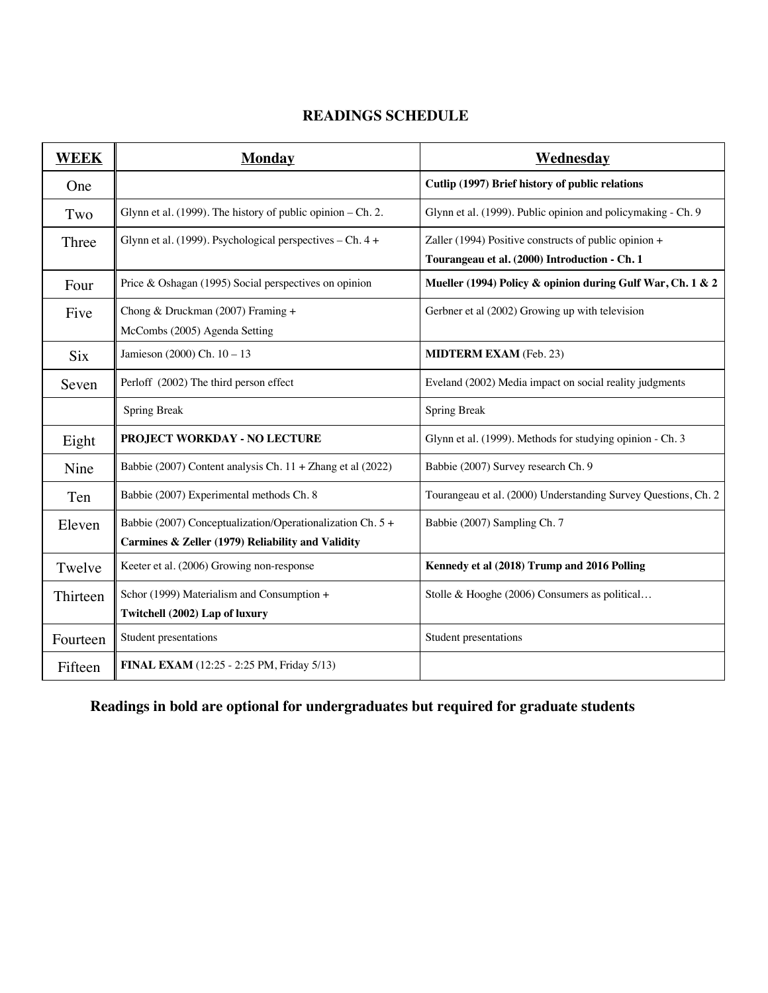# **READINGS SCHEDULE**

| <b>WEEK</b> | <b>Monday</b>                                                                                                     | Wednesday                                                                                              |
|-------------|-------------------------------------------------------------------------------------------------------------------|--------------------------------------------------------------------------------------------------------|
| One         |                                                                                                                   | Cutlip (1997) Brief history of public relations                                                        |
| Two         | Glynn et al. (1999). The history of public opinion - Ch. 2.                                                       | Glynn et al. (1999). Public opinion and policymaking - Ch. 9                                           |
| Three       | Glynn et al. (1999). Psychological perspectives $-$ Ch. 4 +                                                       | Zaller (1994) Positive constructs of public opinion +<br>Tourangeau et al. (2000) Introduction - Ch. 1 |
| Four        | Price & Oshagan (1995) Social perspectives on opinion                                                             | Mueller (1994) Policy & opinion during Gulf War, Ch. 1 & 2                                             |
| Five        | Chong & Druckman (2007) Framing +<br>McCombs (2005) Agenda Setting                                                | Gerbner et al (2002) Growing up with television                                                        |
| <b>Six</b>  | Jamieson (2000) Ch. 10 - 13                                                                                       | <b>MIDTERM EXAM</b> (Feb. 23)                                                                          |
| Seven       | Perloff (2002) The third person effect                                                                            | Eveland (2002) Media impact on social reality judgments                                                |
|             | Spring Break                                                                                                      | Spring Break                                                                                           |
| Eight       | PROJECT WORKDAY - NO LECTURE                                                                                      | Glynn et al. (1999). Methods for studying opinion - Ch. 3                                              |
| Nine        | Babbie (2007) Content analysis Ch. $11 + Z$ hang et al (2022)                                                     | Babbie (2007) Survey research Ch. 9                                                                    |
| Ten         | Babbie (2007) Experimental methods Ch. 8                                                                          | Tourangeau et al. (2000) Understanding Survey Questions, Ch. 2                                         |
| Eleven      | Babbie (2007) Conceptualization/Operationalization Ch. $5 +$<br>Carmines & Zeller (1979) Reliability and Validity | Babbie (2007) Sampling Ch. 7                                                                           |
| Twelve      | Keeter et al. (2006) Growing non-response                                                                         | Kennedy et al (2018) Trump and 2016 Polling                                                            |
| Thirteen    | Schor (1999) Materialism and Consumption +<br>Twitchell (2002) Lap of luxury                                      | Stolle & Hooghe (2006) Consumers as political                                                          |
| Fourteen    | Student presentations                                                                                             | Student presentations                                                                                  |
| Fifteen     | FINAL EXAM (12:25 - 2:25 PM, Friday 5/13)                                                                         |                                                                                                        |

**Readings in bold are optional for undergraduates but required for graduate students**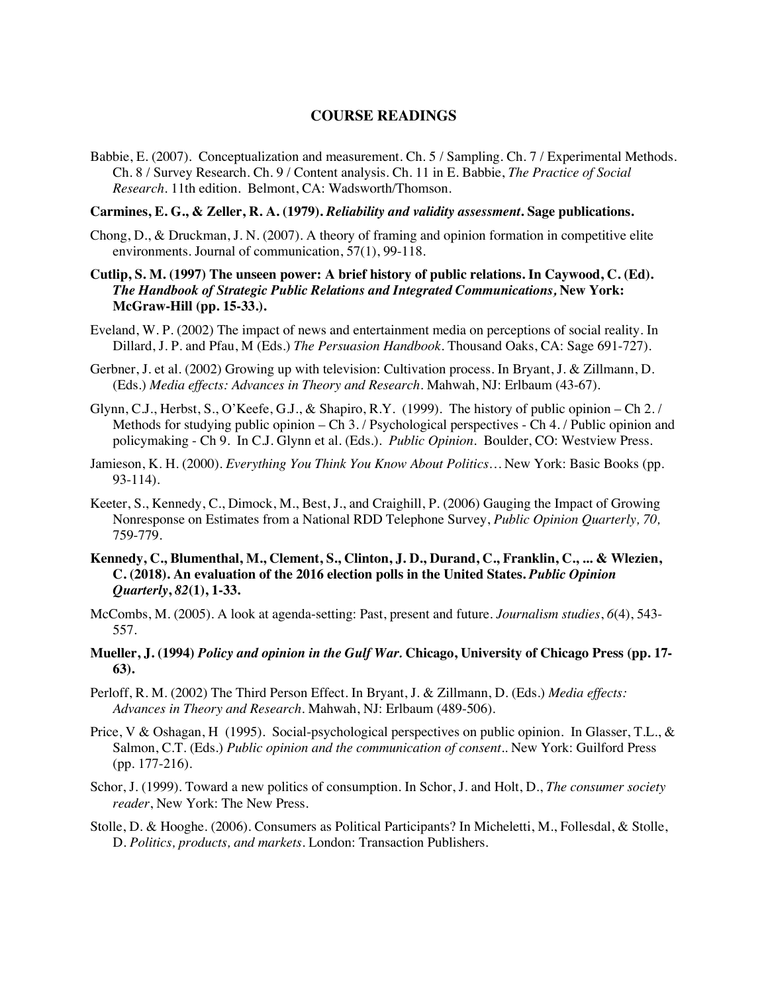## **COURSE READINGS**

- Babbie, E. (2007). Conceptualization and measurement. Ch. 5 / Sampling. Ch. 7 / Experimental Methods. Ch. 8 / Survey Research. Ch. 9 / Content analysis. Ch. 11 in E. Babbie, *The Practice of Social Research*. 11th edition. Belmont, CA: Wadsworth/Thomson.
- **Carmines, E. G., & Zeller, R. A. (1979).** *Reliability and validity assessment***. Sage publications.**
- Chong, D., & Druckman, J. N. (2007). A theory of framing and opinion formation in competitive elite environments. Journal of communication, 57(1), 99-118.
- **Cutlip, S. M. (1997) The unseen power: A brief history of public relations. In Caywood, C. (Ed).**  *The Handbook of Strategic Public Relations and Integrated Communications, New York:* **McGraw-Hill (pp. 15-33.).**
- Eveland, W. P. (2002) The impact of news and entertainment media on perceptions of social reality. In Dillard, J. P. and Pfau, M (Eds.) *The Persuasion Handbook*. Thousand Oaks, CA: Sage 691-727).
- Gerbner, J. et al. (2002) Growing up with television: Cultivation process. In Bryant, J. & Zillmann, D. (Eds.) *Media effects: Advances in Theory and Research*. Mahwah, NJ: Erlbaum (43-67).
- Glynn, C.J., Herbst, S., O'Keefe, G.J., & Shapiro, R.Y. (1999). The history of public opinion Ch 2. / Methods for studying public opinion – Ch 3. / Psychological perspectives - Ch 4. / Public opinion and policymaking - Ch 9. In C.J. Glynn et al. (Eds.). *Public Opinion.* Boulder, CO: Westview Press.
- Jamieson, K. H. (2000). *Everything You Think You Know About Politics…* New York: Basic Books (pp. 93-114).
- Keeter, S., Kennedy, C., Dimock, M., Best, J., and Craighill, P. (2006) Gauging the Impact of Growing Nonresponse on Estimates from a National RDD Telephone Survey, *Public Opinion Quarterly, 70,*  759-779.
- **Kennedy, C., Blumenthal, M., Clement, S., Clinton, J. D., Durand, C., Franklin, C., ... & Wlezien, C. (2018). An evaluation of the 2016 election polls in the United States.** *Public Opinion Quarterly***,** *82***(1), 1-33.**
- McCombs, M. (2005). A look at agenda-setting: Past, present and future. *Journalism studies*, *6*(4), 543- 557.
- **Mueller, J. (1994)** *Policy and opinion in the Gulf War.* **Chicago, University of Chicago Press (pp. 17- 63).**
- Perloff, R. M. (2002) The Third Person Effect. In Bryant, J. & Zillmann, D. (Eds.) *Media effects: Advances in Theory and Research*. Mahwah, NJ: Erlbaum (489-506).
- Price, V & Oshagan, H (1995). Social-psychological perspectives on public opinion. In Glasser, T.L., & Salmon, C.T. (Eds.) *Public opinion and the communication of consent.*. New York: Guilford Press (pp. 177-216).
- Schor, J. (1999). Toward a new politics of consumption. In Schor, J. and Holt, D., *The consumer society reader*, New York: The New Press.
- Stolle, D. & Hooghe. (2006). Consumers as Political Participants? In Micheletti, M., Follesdal, & Stolle, D. *Politics, products, and markets.* London: Transaction Publishers.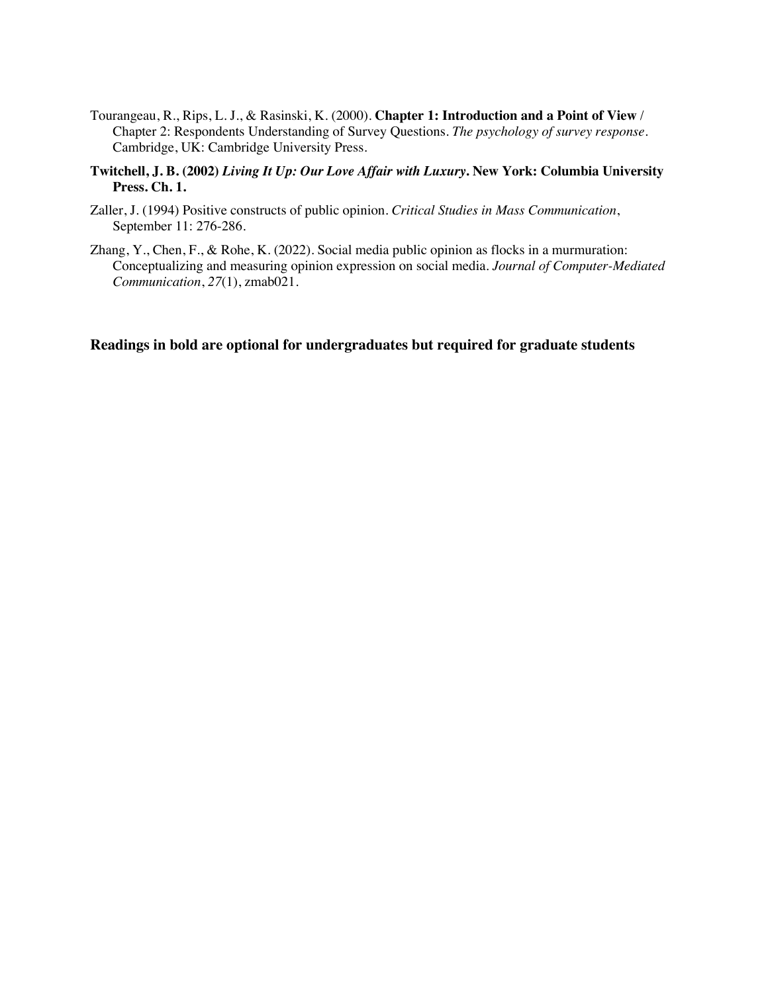- Tourangeau, R., Rips, L. J., & Rasinski, K. (2000). **Chapter 1: Introduction and a Point of View** / Chapter 2: Respondents Understanding of Survey Questions. *The psychology of survey response.*  Cambridge, UK: Cambridge University Press.
- **Twitchell, J. B. (2002)** *Living It Up: Our Love Affair with Luxury***. New York: Columbia University Press. Ch. 1.**
- Zaller, J. (1994) Positive constructs of public opinion. *Critical Studies in Mass Communication*, September 11: 276-286.
- Zhang, Y., Chen, F., & Rohe, K. (2022). Social media public opinion as flocks in a murmuration: Conceptualizing and measuring opinion expression on social media. *Journal of Computer-Mediated Communication*, *27*(1), zmab021.

# **Readings in bold are optional for undergraduates but required for graduate students**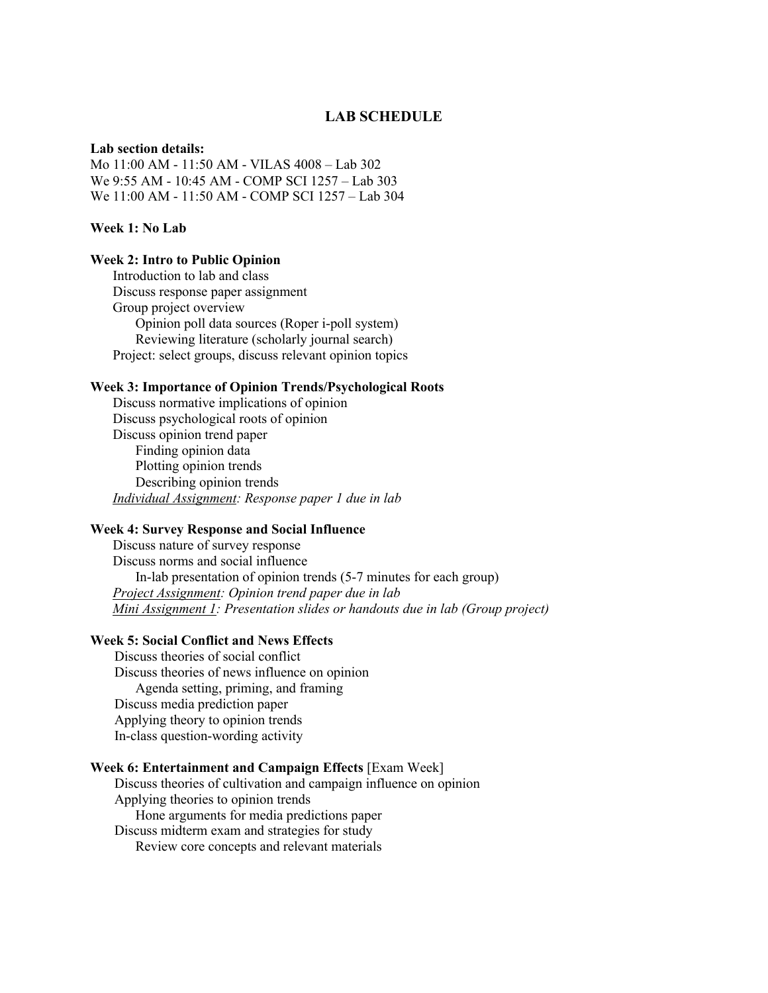# **LAB SCHEDULE**

#### **Lab section details:**

Mo 11:00 AM - 11:50 AM - VILAS 4008 – Lab 302 We 9:55 AM - 10:45 AM - COMP SCI 1257 – Lab 303 We 11:00 AM - 11:50 AM - COMP SCI 1257 – Lab 304

## **Week 1: No Lab**

#### **Week 2: Intro to Public Opinion**

Introduction to lab and class Discuss response paper assignment Group project overview Opinion poll data sources (Roper i-poll system) Reviewing literature (scholarly journal search) Project: select groups, discuss relevant opinion topics

# **Week 3: Importance of Opinion Trends/Psychological Roots**

Discuss normative implications of opinion Discuss psychological roots of opinion Discuss opinion trend paper Finding opinion data Plotting opinion trends Describing opinion trends *Individual Assignment: Response paper 1 due in lab* 

#### **Week 4: Survey Response and Social Influence**

Discuss nature of survey response Discuss norms and social influence In-lab presentation of opinion trends (5-7 minutes for each group) *Project Assignment: Opinion trend paper due in lab Mini Assignment 1: Presentation slides or handouts due in lab (Group project)*

## **Week 5: Social Conflict and News Effects**

 Discuss theories of social conflict Discuss theories of news influence on opinion Agenda setting, priming, and framing Discuss media prediction paper Applying theory to opinion trends In-class question-wording activity

#### **Week 6: Entertainment and Campaign Effects** [Exam Week]

 Discuss theories of cultivation and campaign influence on opinion Applying theories to opinion trends Hone arguments for media predictions paper Discuss midterm exam and strategies for study

Review core concepts and relevant materials